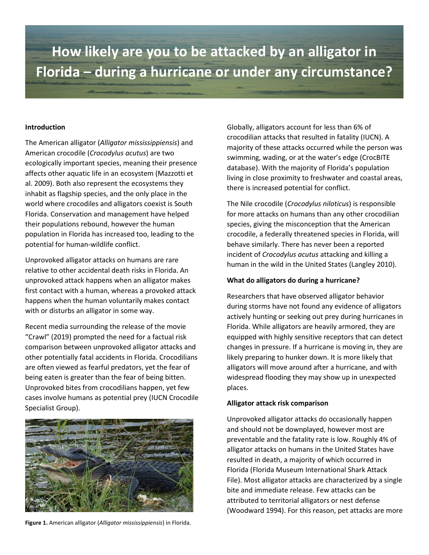# **How likely are you to be attacked by an alligator in Florida – during a hurricane or under any circumstance?**

#### **Introduction**

The American alligator (*Alligator mississippiensis*) and American crocodile (*Crocodylus acutus*) are two ecologically important species, meaning their presence affects other aquatic life in an ecosystem (Mazzotti et al. 2009). Both also represent the ecosystems they inhabit as flagship species, and the only place in the world where crocodiles and alligators coexist is South Florida. Conservation and management have helped their populations rebound, however the human population in Florida has increased too, leading to the potential for human-wildlife conflict.

Unprovoked alligator attacks on humans are rare relative to other accidental death risks in Florida. An unprovoked attack happens when an alligator makes first contact with a human, whereas a provoked attack happens when the human voluntarily makes contact with or disturbs an alligator in some way.

Recent media surrounding the release of the movie "Crawl" (2019) prompted the need for a factual risk comparison between unprovoked alligator attacks and other potentially fatal accidents in Florida. Crocodilians are often viewed as fearful predators, yet the fear of being eaten is greater than the fear of being bitten. Unprovoked bites from crocodilians happen, yet few cases involve humans as potential prey (IUCN Crocodile Specialist Group).



**Figure 1.** American alligator (*Alligator mississippiensis*) in Florida.

Globally, alligators account for less than 6% of crocodilian attacks that resulted in fatality (IUCN). A majority of these attacks occurred while the person was swimming, wading, or at the water's edge (CrocBITE database). With the majority of Florida's population living in close proximity to freshwater and coastal areas, there is increased potential for conflict.

The Nile crocodile (*Crocodylus niloticus*) is responsible for more attacks on humans than any other crocodilian species, giving the misconception that the American crocodile, a federally threatened species in Florida, will behave similarly. There has never been a reported incident of *Crocodylus acutus* attacking and killing a human in the wild in the United States (Langley 2010).

#### **What do alligators do during a hurricane?**

Researchers that have observed alligator behavior during storms have not found any evidence of alligators actively hunting or seeking out prey during hurricanes in Florida. While alligators are heavily armored, they are equipped with highly sensitive receptors that can detect changes in pressure. If a hurricane is moving in, they are likely preparing to hunker down. It is more likely that alligators will move around after a hurricane, and with widespread flooding they may show up in unexpected places.

#### **Alligator attack risk comparison**

Unprovoked alligator attacks do occasionally happen and should not be downplayed, however most are preventable and the fatality rate is low. Roughly 4% of alligator attacks on humans in the United States have resulted in death, a majority of which occurred in Florida (Florida Museum International Shark Attack File). Most alligator attacks are characterized by a single bite and immediate release. Few attacks can be attributed to territorial alligators or nest defense (Woodward 1994). For this reason, pet attacks are more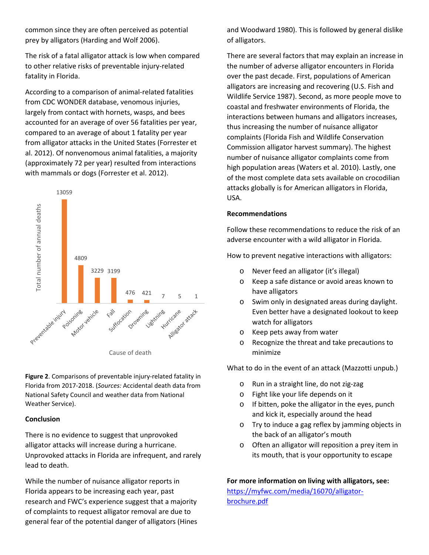common since they are often perceived as potential prey by alligators (Harding and Wolf 2006).

The risk of a fatal alligator attack is low when compared to other relative risks of preventable injury-related fatality in Florida.

According to a comparison of animal-related fatalities from CDC WONDER database, venomous injuries, largely from contact with hornets, wasps, and bees accounted for an average of over 56 fatalities per year, compared to an average of about 1 fatality per year from alligator attacks in the United States (Forrester et al. 2012). Of nonvenomous animal fatalities, a majority (approximately 72 per year) resulted from interactions with mammals or dogs (Forrester et al. 2012).



**Figure 2**. Comparisons of preventable injury-related fatality in Florida from 2017-2018. (*Sources:* Accidental death data from National Safety Council and weather data from National Weather Service).

## **Conclusion**

There is no evidence to suggest that unprovoked alligator attacks will increase during a hurricane. Unprovoked attacks in Florida are infrequent, and rarely lead to death.

While the number of nuisance alligator reports in Florida appears to be increasing each year, past research and FWC's experience suggest that a majority of complaints to request alligator removal are due to general fear of the potential danger of alligators (Hines

and Woodward 1980). This is followed by general dislike of alligators.

There are several factors that may explain an increase in the number of adverse alligator encounters in Florida over the past decade. First, populations of American alligators are increasing and recovering (U.S. Fish and Wildlife Service 1987). Second, as more people move to coastal and freshwater environments of Florida, the interactions between humans and alligators increases, thus increasing the number of nuisance alligator complaints (Florida Fish and Wildlife Conservation Commission alligator harvest summary). The highest number of nuisance alligator complaints come from high population areas (Waters et al. 2010). Lastly, one of the most complete data sets available on crocodilian attacks globally is for American alligators in Florida, USA.

## **Recommendations**

Follow these recommendations to reduce the risk of an adverse encounter with a wild alligator in Florida.

How to prevent negative interactions with alligators:

- Never feed an alligator (it's illegal)
- o Keep a safe distance or avoid areas known to have alligators
- o Swim only in designated areas during daylight. Even better have a designated lookout to keep watch for alligators
- o Keep pets away from water
- o Recognize the threat and take precautions to minimize

What to do in the event of an attack (Mazzotti unpub.)

- o Run in a straight line, do not zig-zag
- o Fight like your life depends on it
- o If bitten, poke the alligator in the eyes, punch and kick it, especially around the head
- o Try to induce a gag reflex by jamming objects in the back of an alligator's mouth
- o Often an alligator will reposition a prey item in its mouth, that is your opportunity to escape

**For more information on living with alligators, see:**  [https://myfwc.com/media/16070/alligator](https://myfwc.com/media/16070/alligator-brochure.pdf)[brochure.pdf](https://myfwc.com/media/16070/alligator-brochure.pdf)